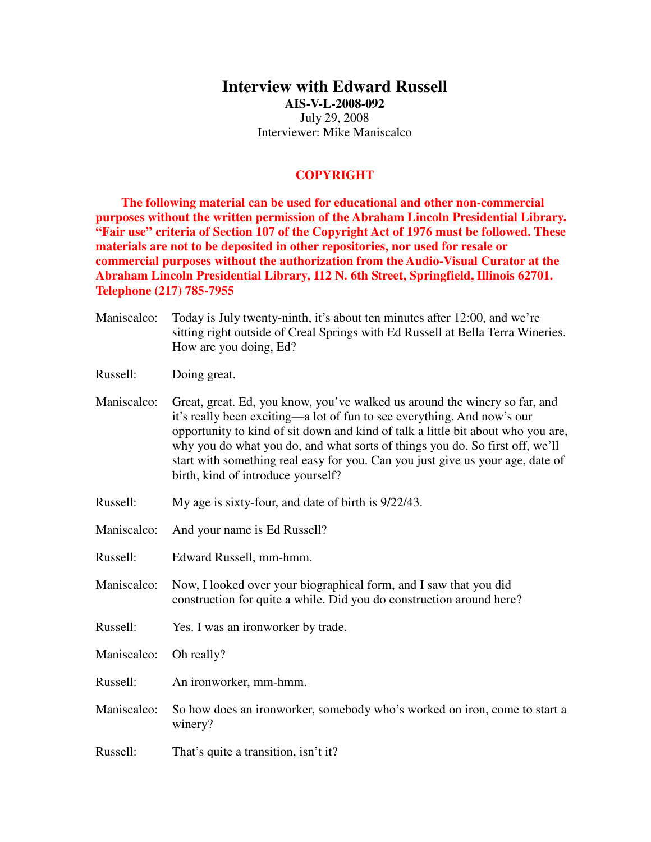## **Interview with Edward Russell**

**AIS-V-L-2008-092**  July 29, 2008 Interviewer: Mike Maniscalco

## **COPYRIGHT**

**The following material can be used for educational and other non-commercial purposes without the written permission of the Abraham Lincoln Presidential Library. "Fair use" criteria of Section 107 of the Copyright Act of 1976 must be followed. These materials are not to be deposited in other repositories, nor used for resale or commercial purposes without the authorization from the Audio-Visual Curator at the Abraham Lincoln Presidential Library, 112 N. 6th Street, Springfield, Illinois 62701. Telephone (217) 785-7955** 

- Maniscalco: Today is July twenty-ninth, it's about ten minutes after 12:00, and we're sitting right outside of Creal Springs with Ed Russell at Bella Terra Wineries. How are you doing, Ed?
- Russell: Doing great.

Maniscalco: Great, great. Ed, you know, you've walked us around the winery so far, and it's really been exciting—a lot of fun to see everything. And now's our opportunity to kind of sit down and kind of talk a little bit about who you are, why you do what you do, and what sorts of things you do. So first off, we'll start with something real easy for you. Can you just give us your age, date of birth, kind of introduce yourself?

- Russell: My age is sixty-four, and date of birth is 9/22/43.
- Maniscalco: And your name is Ed Russell?
- Russell: Edward Russell, mm-hmm.
- Maniscalco: Now, I looked over your biographical form, and I saw that you did construction for quite a while. Did you do construction around here?
- Russell: Yes. I was an ironworker by trade.
- Maniscalco: Oh really?
- Russell: An ironworker, mm-hmm.
- Maniscalco: So how does an ironworker, somebody who's worked on iron, come to start a winery?
- Russell: That's quite a transition, isn't it?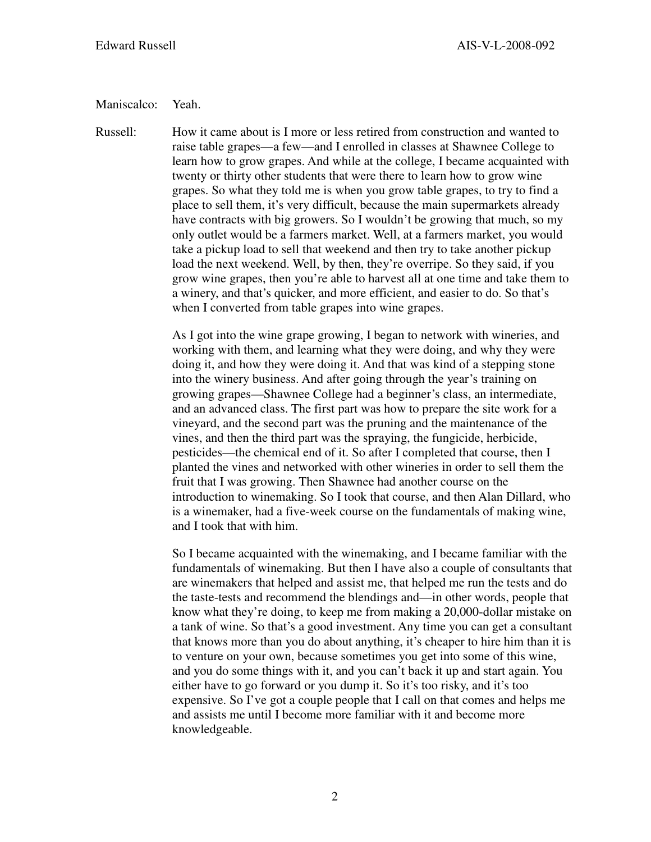## Maniscalco: Yeah.

Russell: How it came about is I more or less retired from construction and wanted to raise table grapes—a few—and I enrolled in classes at Shawnee College to learn how to grow grapes. And while at the college, I became acquainted with twenty or thirty other students that were there to learn how to grow wine grapes. So what they told me is when you grow table grapes, to try to find a place to sell them, it's very difficult, because the main supermarkets already have contracts with big growers. So I wouldn't be growing that much, so my only outlet would be a farmers market. Well, at a farmers market, you would take a pickup load to sell that weekend and then try to take another pickup load the next weekend. Well, by then, they're overripe. So they said, if you grow wine grapes, then you're able to harvest all at one time and take them to a winery, and that's quicker, and more efficient, and easier to do. So that's when I converted from table grapes into wine grapes.

> As I got into the wine grape growing, I began to network with wineries, and working with them, and learning what they were doing, and why they were doing it, and how they were doing it. And that was kind of a stepping stone into the winery business. And after going through the year's training on growing grapes—Shawnee College had a beginner's class, an intermediate, and an advanced class. The first part was how to prepare the site work for a vineyard, and the second part was the pruning and the maintenance of the vines, and then the third part was the spraying, the fungicide, herbicide, pesticides—the chemical end of it. So after I completed that course, then I planted the vines and networked with other wineries in order to sell them the fruit that I was growing. Then Shawnee had another course on the introduction to winemaking. So I took that course, and then Alan Dillard, who is a winemaker, had a five-week course on the fundamentals of making wine, and I took that with him.

> So I became acquainted with the winemaking, and I became familiar with the fundamentals of winemaking. But then I have also a couple of consultants that are winemakers that helped and assist me, that helped me run the tests and do the taste-tests and recommend the blendings and—in other words, people that know what they're doing, to keep me from making a 20,000-dollar mistake on a tank of wine. So that's a good investment. Any time you can get a consultant that knows more than you do about anything, it's cheaper to hire him than it is to venture on your own, because sometimes you get into some of this wine, and you do some things with it, and you can't back it up and start again. You either have to go forward or you dump it. So it's too risky, and it's too expensive. So I've got a couple people that I call on that comes and helps me and assists me until I become more familiar with it and become more knowledgeable.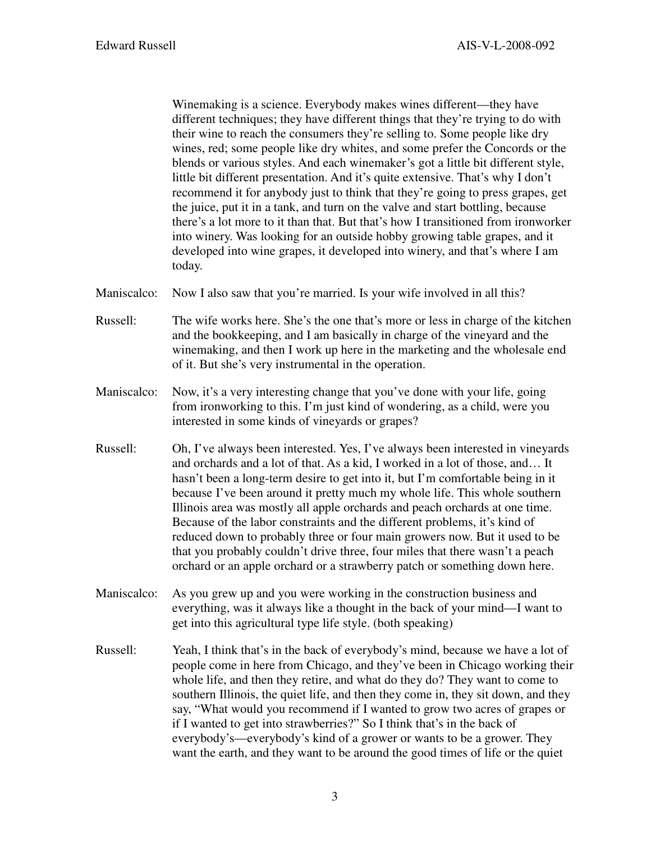Winemaking is a science. Everybody makes wines different—they have different techniques; they have different things that they're trying to do with their wine to reach the consumers they're selling to. Some people like dry wines, red; some people like dry whites, and some prefer the Concords or the blends or various styles. And each winemaker's got a little bit different style, little bit different presentation. And it's quite extensive. That's why I don't recommend it for anybody just to think that they're going to press grapes, get the juice, put it in a tank, and turn on the valve and start bottling, because there's a lot more to it than that. But that's how I transitioned from ironworker into winery. Was looking for an outside hobby growing table grapes, and it developed into wine grapes, it developed into winery, and that's where I am today.

- Maniscalco: Now I also saw that you're married. Is your wife involved in all this?
- Russell: The wife works here. She's the one that's more or less in charge of the kitchen and the bookkeeping, and I am basically in charge of the vineyard and the winemaking, and then I work up here in the marketing and the wholesale end of it. But she's very instrumental in the operation.
- Maniscalco: Now, it's a very interesting change that you've done with your life, going from ironworking to this. I'm just kind of wondering, as a child, were you interested in some kinds of vineyards or grapes?
- Russell: Oh, I've always been interested. Yes, I've always been interested in vineyards and orchards and a lot of that. As a kid, I worked in a lot of those, and… It hasn't been a long-term desire to get into it, but I'm comfortable being in it because I've been around it pretty much my whole life. This whole southern Illinois area was mostly all apple orchards and peach orchards at one time. Because of the labor constraints and the different problems, it's kind of reduced down to probably three or four main growers now. But it used to be that you probably couldn't drive three, four miles that there wasn't a peach orchard or an apple orchard or a strawberry patch or something down here.
- Maniscalco: As you grew up and you were working in the construction business and everything, was it always like a thought in the back of your mind—I want to get into this agricultural type life style. (both speaking)
- Russell: Yeah, I think that's in the back of everybody's mind, because we have a lot of people come in here from Chicago, and they've been in Chicago working their whole life, and then they retire, and what do they do? They want to come to southern Illinois, the quiet life, and then they come in, they sit down, and they say, "What would you recommend if I wanted to grow two acres of grapes or if I wanted to get into strawberries?" So I think that's in the back of everybody's—everybody's kind of a grower or wants to be a grower. They want the earth, and they want to be around the good times of life or the quiet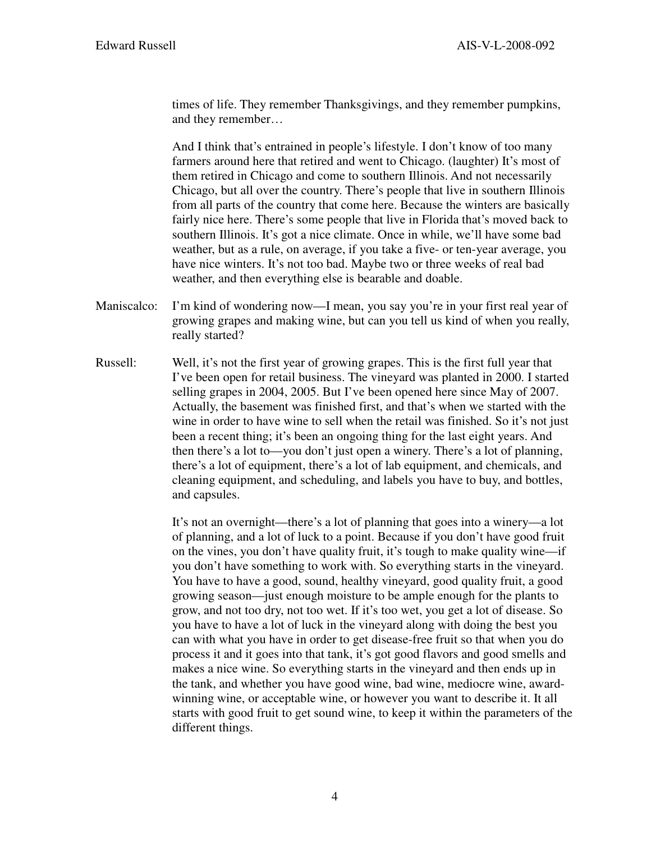times of life. They remember Thanksgivings, and they remember pumpkins, and they remember…

 And I think that's entrained in people's lifestyle. I don't know of too many farmers around here that retired and went to Chicago. (laughter) It's most of them retired in Chicago and come to southern Illinois. And not necessarily Chicago, but all over the country. There's people that live in southern Illinois from all parts of the country that come here. Because the winters are basically fairly nice here. There's some people that live in Florida that's moved back to southern Illinois. It's got a nice climate. Once in while, we'll have some bad weather, but as a rule, on average, if you take a five- or ten-year average, you have nice winters. It's not too bad. Maybe two or three weeks of real bad weather, and then everything else is bearable and doable.

- Maniscalco: I'm kind of wondering now—I mean, you say you're in your first real year of growing grapes and making wine, but can you tell us kind of when you really, really started?
- Russell: Well, it's not the first year of growing grapes. This is the first full year that I've been open for retail business. The vineyard was planted in 2000. I started selling grapes in 2004, 2005. But I've been opened here since May of 2007. Actually, the basement was finished first, and that's when we started with the wine in order to have wine to sell when the retail was finished. So it's not just been a recent thing; it's been an ongoing thing for the last eight years. And then there's a lot to—you don't just open a winery. There's a lot of planning, there's a lot of equipment, there's a lot of lab equipment, and chemicals, and cleaning equipment, and scheduling, and labels you have to buy, and bottles, and capsules.

 It's not an overnight—there's a lot of planning that goes into a winery—a lot of planning, and a lot of luck to a point. Because if you don't have good fruit on the vines, you don't have quality fruit, it's tough to make quality wine—if you don't have something to work with. So everything starts in the vineyard. You have to have a good, sound, healthy vineyard, good quality fruit, a good growing season—just enough moisture to be ample enough for the plants to grow, and not too dry, not too wet. If it's too wet, you get a lot of disease. So you have to have a lot of luck in the vineyard along with doing the best you can with what you have in order to get disease-free fruit so that when you do process it and it goes into that tank, it's got good flavors and good smells and makes a nice wine. So everything starts in the vineyard and then ends up in the tank, and whether you have good wine, bad wine, mediocre wine, awardwinning wine, or acceptable wine, or however you want to describe it. It all starts with good fruit to get sound wine, to keep it within the parameters of the different things.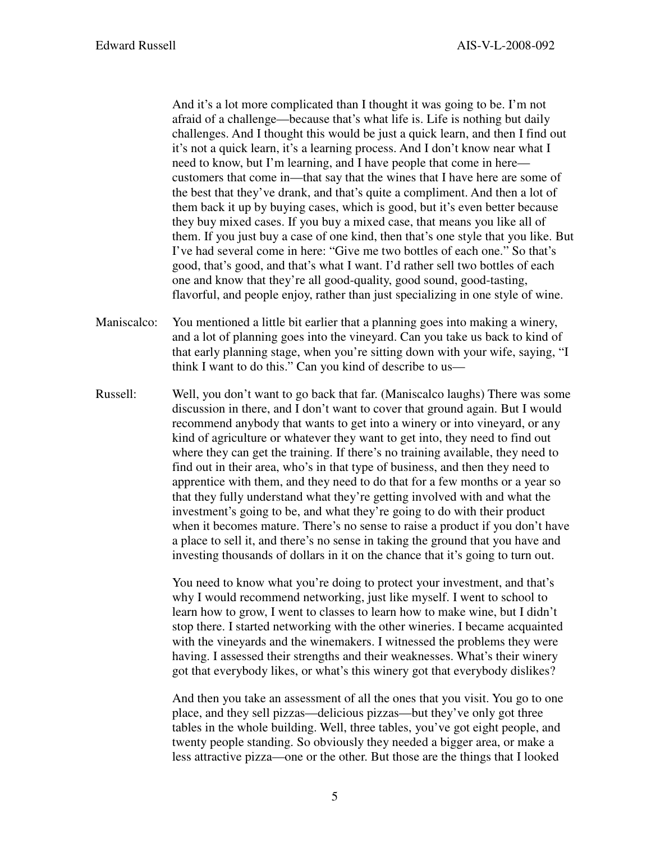And it's a lot more complicated than I thought it was going to be. I'm not afraid of a challenge—because that's what life is. Life is nothing but daily challenges. And I thought this would be just a quick learn, and then I find out it's not a quick learn, it's a learning process. And I don't know near what I need to know, but I'm learning, and I have people that come in here customers that come in—that say that the wines that I have here are some of the best that they've drank, and that's quite a compliment. And then a lot of them back it up by buying cases, which is good, but it's even better because they buy mixed cases. If you buy a mixed case, that means you like all of them. If you just buy a case of one kind, then that's one style that you like. But I've had several come in here: "Give me two bottles of each one." So that's good, that's good, and that's what I want. I'd rather sell two bottles of each one and know that they're all good-quality, good sound, good-tasting, flavorful, and people enjoy, rather than just specializing in one style of wine.

- Maniscalco: You mentioned a little bit earlier that a planning goes into making a winery, and a lot of planning goes into the vineyard. Can you take us back to kind of that early planning stage, when you're sitting down with your wife, saying, "I think I want to do this." Can you kind of describe to us—
- Russell: Well, you don't want to go back that far. (Maniscalco laughs) There was some discussion in there, and I don't want to cover that ground again. But I would recommend anybody that wants to get into a winery or into vineyard, or any kind of agriculture or whatever they want to get into, they need to find out where they can get the training. If there's no training available, they need to find out in their area, who's in that type of business, and then they need to apprentice with them, and they need to do that for a few months or a year so that they fully understand what they're getting involved with and what the investment's going to be, and what they're going to do with their product when it becomes mature. There's no sense to raise a product if you don't have a place to sell it, and there's no sense in taking the ground that you have and investing thousands of dollars in it on the chance that it's going to turn out.

You need to know what you're doing to protect your investment, and that's why I would recommend networking, just like myself. I went to school to learn how to grow, I went to classes to learn how to make wine, but I didn't stop there. I started networking with the other wineries. I became acquainted with the vineyards and the winemakers. I witnessed the problems they were having. I assessed their strengths and their weaknesses. What's their winery got that everybody likes, or what's this winery got that everybody dislikes?

 And then you take an assessment of all the ones that you visit. You go to one place, and they sell pizzas—delicious pizzas—but they've only got three tables in the whole building. Well, three tables, you've got eight people, and twenty people standing. So obviously they needed a bigger area, or make a less attractive pizza—one or the other. But those are the things that I looked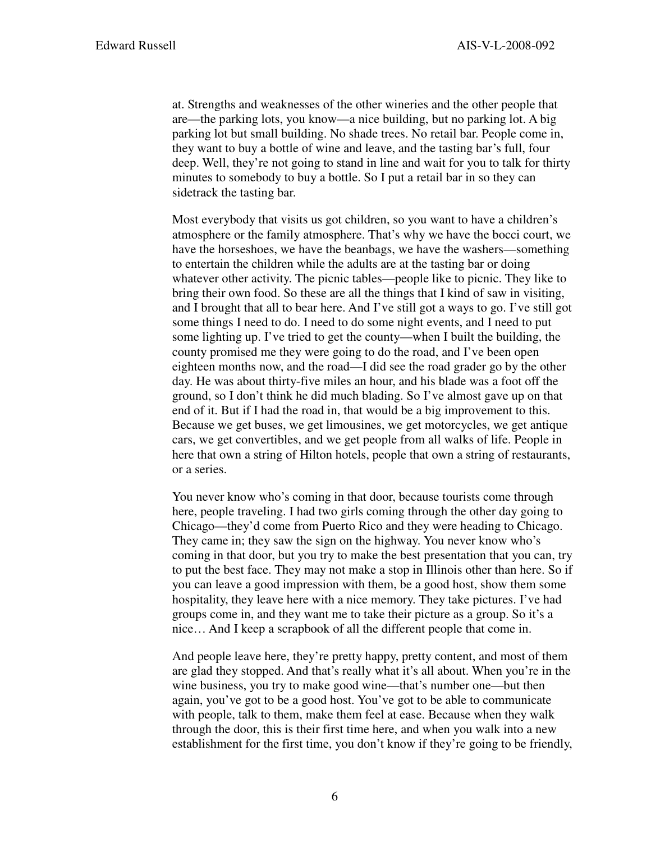at. Strengths and weaknesses of the other wineries and the other people that are—the parking lots, you know—a nice building, but no parking lot. A big parking lot but small building. No shade trees. No retail bar. People come in, they want to buy a bottle of wine and leave, and the tasting bar's full, four deep. Well, they're not going to stand in line and wait for you to talk for thirty minutes to somebody to buy a bottle. So I put a retail bar in so they can sidetrack the tasting bar.

 Most everybody that visits us got children, so you want to have a children's atmosphere or the family atmosphere. That's why we have the bocci court, we have the horseshoes, we have the beanbags, we have the washers—something to entertain the children while the adults are at the tasting bar or doing whatever other activity. The picnic tables—people like to picnic. They like to bring their own food. So these are all the things that I kind of saw in visiting, and I brought that all to bear here. And I've still got a ways to go. I've still got some things I need to do. I need to do some night events, and I need to put some lighting up. I've tried to get the county—when I built the building, the county promised me they were going to do the road, and I've been open eighteen months now, and the road—I did see the road grader go by the other day. He was about thirty-five miles an hour, and his blade was a foot off the ground, so I don't think he did much blading. So I've almost gave up on that end of it. But if I had the road in, that would be a big improvement to this. Because we get buses, we get limousines, we get motorcycles, we get antique cars, we get convertibles, and we get people from all walks of life. People in here that own a string of Hilton hotels, people that own a string of restaurants, or a series.

 You never know who's coming in that door, because tourists come through here, people traveling. I had two girls coming through the other day going to Chicago—they'd come from Puerto Rico and they were heading to Chicago. They came in; they saw the sign on the highway. You never know who's coming in that door, but you try to make the best presentation that you can, try to put the best face. They may not make a stop in Illinois other than here. So if you can leave a good impression with them, be a good host, show them some hospitality, they leave here with a nice memory. They take pictures. I've had groups come in, and they want me to take their picture as a group. So it's a nice… And I keep a scrapbook of all the different people that come in.

 And people leave here, they're pretty happy, pretty content, and most of them are glad they stopped. And that's really what it's all about. When you're in the wine business, you try to make good wine—that's number one—but then again, you've got to be a good host. You've got to be able to communicate with people, talk to them, make them feel at ease. Because when they walk through the door, this is their first time here, and when you walk into a new establishment for the first time, you don't know if they're going to be friendly,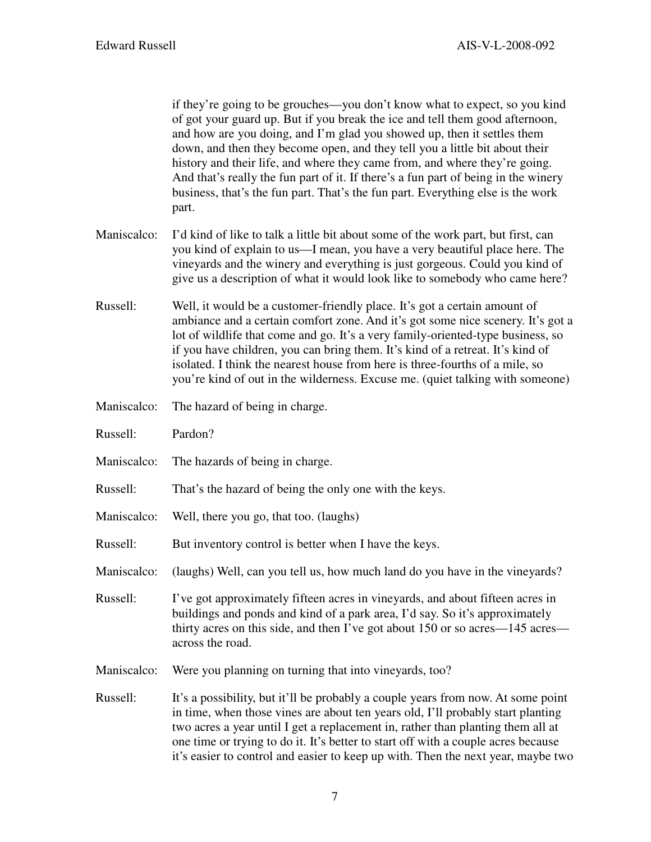if they're going to be grouches—you don't know what to expect, so you kind of got your guard up. But if you break the ice and tell them good afternoon, and how are you doing, and I'm glad you showed up, then it settles them down, and then they become open, and they tell you a little bit about their history and their life, and where they came from, and where they're going. And that's really the fun part of it. If there's a fun part of being in the winery business, that's the fun part. That's the fun part. Everything else is the work part.

- Maniscalco: I'd kind of like to talk a little bit about some of the work part, but first, can you kind of explain to us—I mean, you have a very beautiful place here. The vineyards and the winery and everything is just gorgeous. Could you kind of give us a description of what it would look like to somebody who came here?
- Russell: Well, it would be a customer-friendly place. It's got a certain amount of ambiance and a certain comfort zone. And it's got some nice scenery. It's got a lot of wildlife that come and go. It's a very family-oriented-type business, so if you have children, you can bring them. It's kind of a retreat. It's kind of isolated. I think the nearest house from here is three-fourths of a mile, so you're kind of out in the wilderness. Excuse me. (quiet talking with someone)
- Maniscalco: The hazard of being in charge.
- Russell: Pardon?
- Maniscalco: The hazards of being in charge.
- Russell: That's the hazard of being the only one with the keys.
- Maniscalco: Well, there you go, that too. (laughs)
- Russell: But inventory control is better when I have the keys.
- Maniscalco: (laughs) Well, can you tell us, how much land do you have in the vineyards?
- Russell: I've got approximately fifteen acres in vineyards, and about fifteen acres in buildings and ponds and kind of a park area, I'd say. So it's approximately thirty acres on this side, and then I've got about 150 or so acres—145 acres across the road.
- Maniscalco: Were you planning on turning that into vineyards, too?
- Russell: It's a possibility, but it'll be probably a couple years from now. At some point in time, when those vines are about ten years old, I'll probably start planting two acres a year until I get a replacement in, rather than planting them all at one time or trying to do it. It's better to start off with a couple acres because it's easier to control and easier to keep up with. Then the next year, maybe two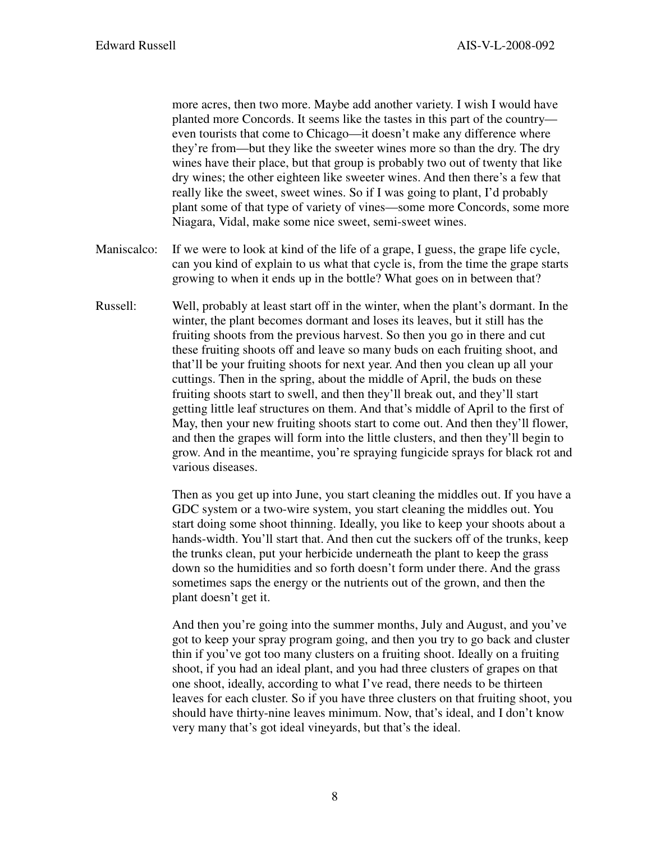more acres, then two more. Maybe add another variety. I wish I would have planted more Concords. It seems like the tastes in this part of the country even tourists that come to Chicago—it doesn't make any difference where they're from—but they like the sweeter wines more so than the dry. The dry wines have their place, but that group is probably two out of twenty that like dry wines; the other eighteen like sweeter wines. And then there's a few that really like the sweet, sweet wines. So if I was going to plant, I'd probably plant some of that type of variety of vines—some more Concords, some more Niagara, Vidal, make some nice sweet, semi-sweet wines.

- Maniscalco: If we were to look at kind of the life of a grape, I guess, the grape life cycle, can you kind of explain to us what that cycle is, from the time the grape starts growing to when it ends up in the bottle? What goes on in between that?
- Russell: Well, probably at least start off in the winter, when the plant's dormant. In the winter, the plant becomes dormant and loses its leaves, but it still has the fruiting shoots from the previous harvest. So then you go in there and cut these fruiting shoots off and leave so many buds on each fruiting shoot, and that'll be your fruiting shoots for next year. And then you clean up all your cuttings. Then in the spring, about the middle of April, the buds on these fruiting shoots start to swell, and then they'll break out, and they'll start getting little leaf structures on them. And that's middle of April to the first of May, then your new fruiting shoots start to come out. And then they'll flower, and then the grapes will form into the little clusters, and then they'll begin to grow. And in the meantime, you're spraying fungicide sprays for black rot and various diseases.

 Then as you get up into June, you start cleaning the middles out. If you have a GDC system or a two-wire system, you start cleaning the middles out. You start doing some shoot thinning. Ideally, you like to keep your shoots about a hands-width. You'll start that. And then cut the suckers off of the trunks, keep the trunks clean, put your herbicide underneath the plant to keep the grass down so the humidities and so forth doesn't form under there. And the grass sometimes saps the energy or the nutrients out of the grown, and then the plant doesn't get it.

 And then you're going into the summer months, July and August, and you've got to keep your spray program going, and then you try to go back and cluster thin if you've got too many clusters on a fruiting shoot. Ideally on a fruiting shoot, if you had an ideal plant, and you had three clusters of grapes on that one shoot, ideally, according to what I've read, there needs to be thirteen leaves for each cluster. So if you have three clusters on that fruiting shoot, you should have thirty-nine leaves minimum. Now, that's ideal, and I don't know very many that's got ideal vineyards, but that's the ideal.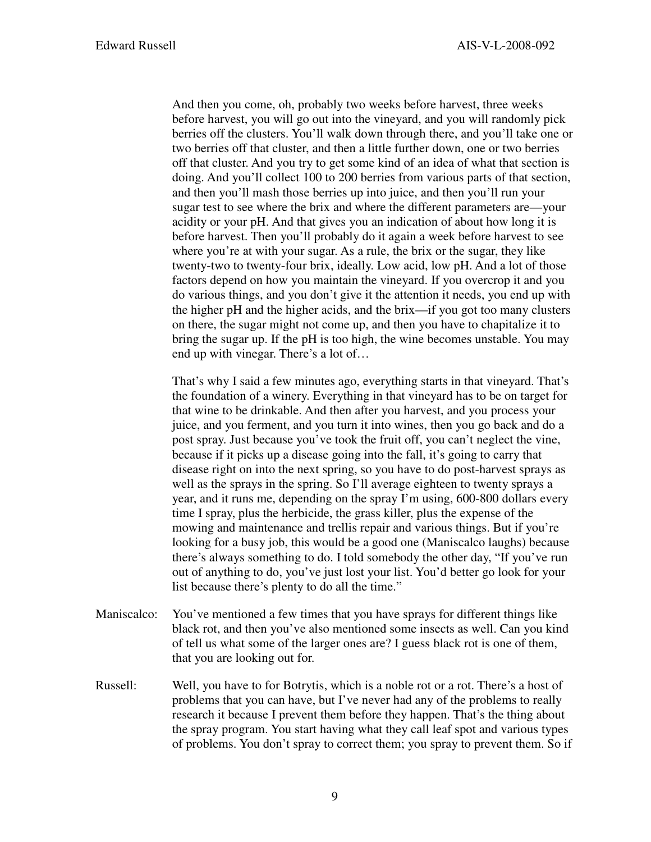And then you come, oh, probably two weeks before harvest, three weeks before harvest, you will go out into the vineyard, and you will randomly pick berries off the clusters. You'll walk down through there, and you'll take one or two berries off that cluster, and then a little further down, one or two berries off that cluster. And you try to get some kind of an idea of what that section is doing. And you'll collect 100 to 200 berries from various parts of that section, and then you'll mash those berries up into juice, and then you'll run your sugar test to see where the brix and where the different parameters are—your acidity or your pH. And that gives you an indication of about how long it is before harvest. Then you'll probably do it again a week before harvest to see where you're at with your sugar. As a rule, the brix or the sugar, they like twenty-two to twenty-four brix, ideally. Low acid, low pH. And a lot of those factors depend on how you maintain the vineyard. If you overcrop it and you do various things, and you don't give it the attention it needs, you end up with the higher pH and the higher acids, and the brix—if you got too many clusters on there, the sugar might not come up, and then you have to chapitalize it to bring the sugar up. If the pH is too high, the wine becomes unstable. You may end up with vinegar. There's a lot of…

 That's why I said a few minutes ago, everything starts in that vineyard. That's the foundation of a winery. Everything in that vineyard has to be on target for that wine to be drinkable. And then after you harvest, and you process your juice, and you ferment, and you turn it into wines, then you go back and do a post spray. Just because you've took the fruit off, you can't neglect the vine, because if it picks up a disease going into the fall, it's going to carry that disease right on into the next spring, so you have to do post-harvest sprays as well as the sprays in the spring. So I'll average eighteen to twenty sprays a year, and it runs me, depending on the spray I'm using, 600-800 dollars every time I spray, plus the herbicide, the grass killer, plus the expense of the mowing and maintenance and trellis repair and various things. But if you're looking for a busy job, this would be a good one (Maniscalco laughs) because there's always something to do. I told somebody the other day, "If you've run out of anything to do, you've just lost your list. You'd better go look for your list because there's plenty to do all the time."

- Maniscalco: You've mentioned a few times that you have sprays for different things like black rot, and then you've also mentioned some insects as well. Can you kind of tell us what some of the larger ones are? I guess black rot is one of them, that you are looking out for.
- Russell: Well, you have to for Botrytis, which is a noble rot or a rot. There's a host of problems that you can have, but I've never had any of the problems to really research it because I prevent them before they happen. That's the thing about the spray program. You start having what they call leaf spot and various types of problems. You don't spray to correct them; you spray to prevent them. So if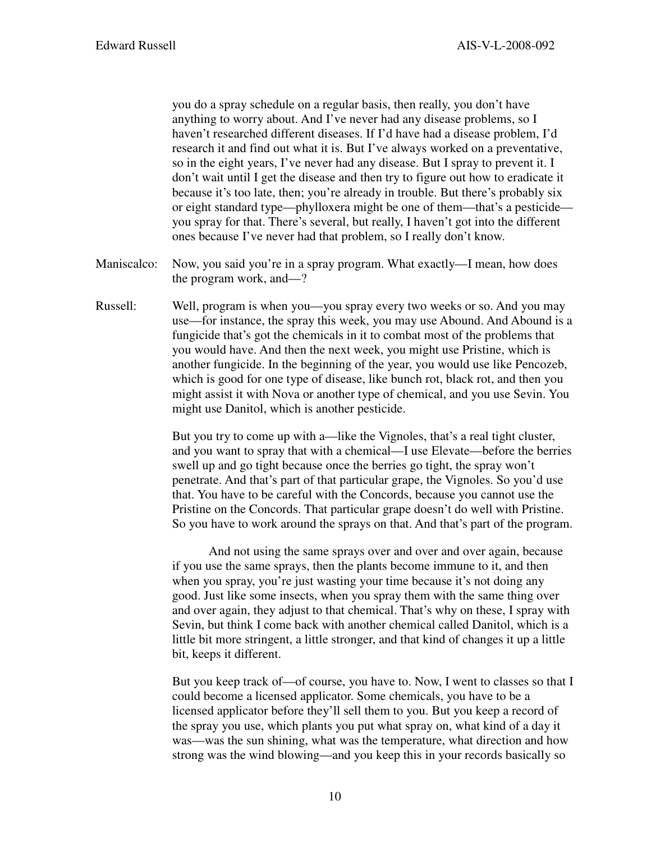you do a spray schedule on a regular basis, then really, you don't have anything to worry about. And I've never had any disease problems, so I haven't researched different diseases. If I'd have had a disease problem, I'd research it and find out what it is. But I've always worked on a preventative, so in the eight years, I've never had any disease. But I spray to prevent it. I don't wait until I get the disease and then try to figure out how to eradicate it because it's too late, then; you're already in trouble. But there's probably six or eight standard type—phylloxera might be one of them—that's a pesticide you spray for that. There's several, but really, I haven't got into the different ones because I've never had that problem, so I really don't know.

- Maniscalco: Now, you said you're in a spray program. What exactly—I mean, how does the program work, and—?
- Russell: Well, program is when you—you spray every two weeks or so. And you may use—for instance, the spray this week, you may use Abound. And Abound is a fungicide that's got the chemicals in it to combat most of the problems that you would have. And then the next week, you might use Pristine, which is another fungicide. In the beginning of the year, you would use like Pencozeb, which is good for one type of disease, like bunch rot, black rot, and then you might assist it with Nova or another type of chemical, and you use Sevin. You might use Danitol, which is another pesticide.

 But you try to come up with a—like the Vignoles, that's a real tight cluster, and you want to spray that with a chemical—I use Elevate—before the berries swell up and go tight because once the berries go tight, the spray won't penetrate. And that's part of that particular grape, the Vignoles. So you'd use that. You have to be careful with the Concords, because you cannot use the Pristine on the Concords. That particular grape doesn't do well with Pristine. So you have to work around the sprays on that. And that's part of the program.

 And not using the same sprays over and over and over again, because if you use the same sprays, then the plants become immune to it, and then when you spray, you're just wasting your time because it's not doing any good. Just like some insects, when you spray them with the same thing over and over again, they adjust to that chemical. That's why on these, I spray with Sevin, but think I come back with another chemical called Danitol, which is a little bit more stringent, a little stronger, and that kind of changes it up a little bit, keeps it different.

 But you keep track of—of course, you have to. Now, I went to classes so that I could become a licensed applicator. Some chemicals, you have to be a licensed applicator before they'll sell them to you. But you keep a record of the spray you use, which plants you put what spray on, what kind of a day it was—was the sun shining, what was the temperature, what direction and how strong was the wind blowing—and you keep this in your records basically so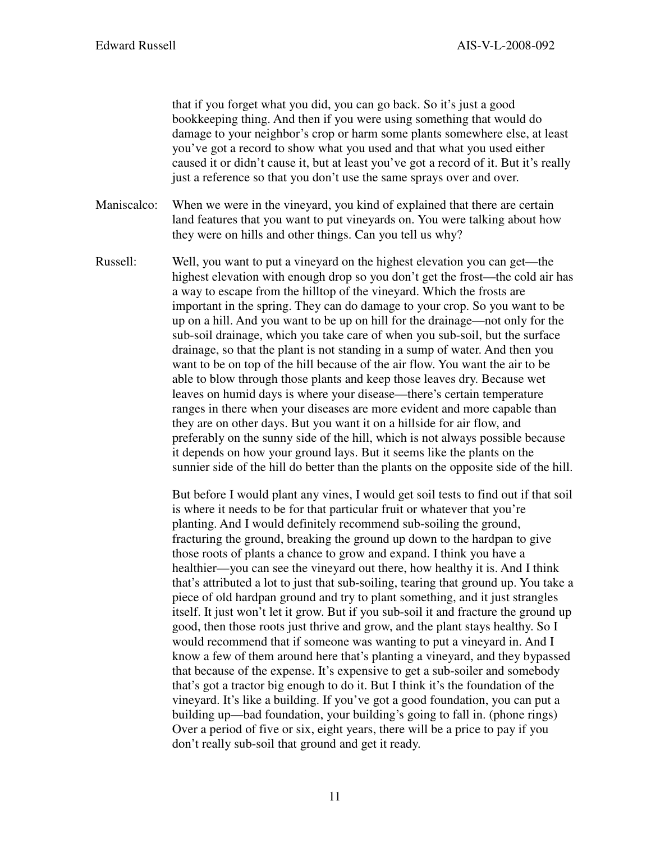that if you forget what you did, you can go back. So it's just a good bookkeeping thing. And then if you were using something that would do damage to your neighbor's crop or harm some plants somewhere else, at least you've got a record to show what you used and that what you used either caused it or didn't cause it, but at least you've got a record of it. But it's really just a reference so that you don't use the same sprays over and over.

Maniscalco: When we were in the vineyard, you kind of explained that there are certain land features that you want to put vineyards on. You were talking about how they were on hills and other things. Can you tell us why?

Russell: Well, you want to put a vineyard on the highest elevation you can get—the highest elevation with enough drop so you don't get the frost—the cold air has a way to escape from the hilltop of the vineyard. Which the frosts are important in the spring. They can do damage to your crop. So you want to be up on a hill. And you want to be up on hill for the drainage—not only for the sub-soil drainage, which you take care of when you sub-soil, but the surface drainage, so that the plant is not standing in a sump of water. And then you want to be on top of the hill because of the air flow. You want the air to be able to blow through those plants and keep those leaves dry. Because wet leaves on humid days is where your disease—there's certain temperature ranges in there when your diseases are more evident and more capable than they are on other days. But you want it on a hillside for air flow, and preferably on the sunny side of the hill, which is not always possible because it depends on how your ground lays. But it seems like the plants on the sunnier side of the hill do better than the plants on the opposite side of the hill.

> But before I would plant any vines, I would get soil tests to find out if that soil is where it needs to be for that particular fruit or whatever that you're planting. And I would definitely recommend sub-soiling the ground, fracturing the ground, breaking the ground up down to the hardpan to give those roots of plants a chance to grow and expand. I think you have a healthier—you can see the vineyard out there, how healthy it is. And I think that's attributed a lot to just that sub-soiling, tearing that ground up. You take a piece of old hardpan ground and try to plant something, and it just strangles itself. It just won't let it grow. But if you sub-soil it and fracture the ground up good, then those roots just thrive and grow, and the plant stays healthy. So I would recommend that if someone was wanting to put a vineyard in. And I know a few of them around here that's planting a vineyard, and they bypassed that because of the expense. It's expensive to get a sub-soiler and somebody that's got a tractor big enough to do it. But I think it's the foundation of the vineyard. It's like a building. If you've got a good foundation, you can put a building up—bad foundation, your building's going to fall in. (phone rings) Over a period of five or six, eight years, there will be a price to pay if you don't really sub-soil that ground and get it ready.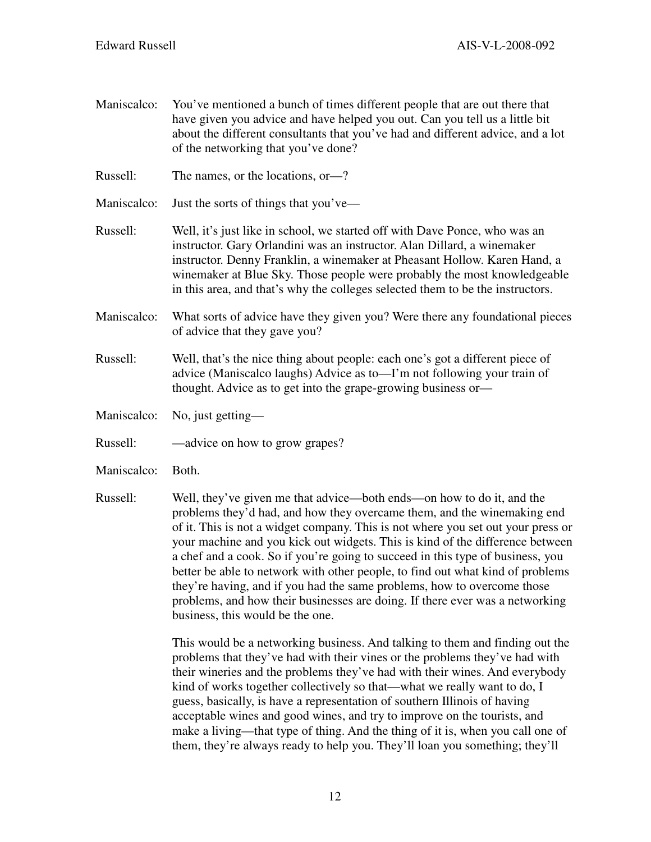Maniscalco: You've mentioned a bunch of times different people that are out there that have given you advice and have helped you out. Can you tell us a little bit about the different consultants that you've had and different advice, and a lot of the networking that you've done?

Russell: The names, or the locations, or—?

Maniscalco: Just the sorts of things that you've—

- Russell: Well, it's just like in school, we started off with Dave Ponce, who was an instructor. Gary Orlandini was an instructor. Alan Dillard, a winemaker instructor. Denny Franklin, a winemaker at Pheasant Hollow. Karen Hand, a winemaker at Blue Sky. Those people were probably the most knowledgeable in this area, and that's why the colleges selected them to be the instructors.
- Maniscalco: What sorts of advice have they given you? Were there any foundational pieces of advice that they gave you?
- Russell: Well, that's the nice thing about people: each one's got a different piece of advice (Maniscalco laughs) Advice as to—I'm not following your train of thought. Advice as to get into the grape-growing business or—
- Maniscalco: No, just getting—
- Russell: —advice on how to grow grapes?
- Maniscalco: Both.
- Russell: Well, they've given me that advice—both ends—on how to do it, and the problems they'd had, and how they overcame them, and the winemaking end of it. This is not a widget company. This is not where you set out your press or your machine and you kick out widgets. This is kind of the difference between a chef and a cook. So if you're going to succeed in this type of business, you better be able to network with other people, to find out what kind of problems they're having, and if you had the same problems, how to overcome those problems, and how their businesses are doing. If there ever was a networking business, this would be the one.

 This would be a networking business. And talking to them and finding out the problems that they've had with their vines or the problems they've had with their wineries and the problems they've had with their wines. And everybody kind of works together collectively so that—what we really want to do, I guess, basically, is have a representation of southern Illinois of having acceptable wines and good wines, and try to improve on the tourists, and make a living—that type of thing. And the thing of it is, when you call one of them, they're always ready to help you. They'll loan you something; they'll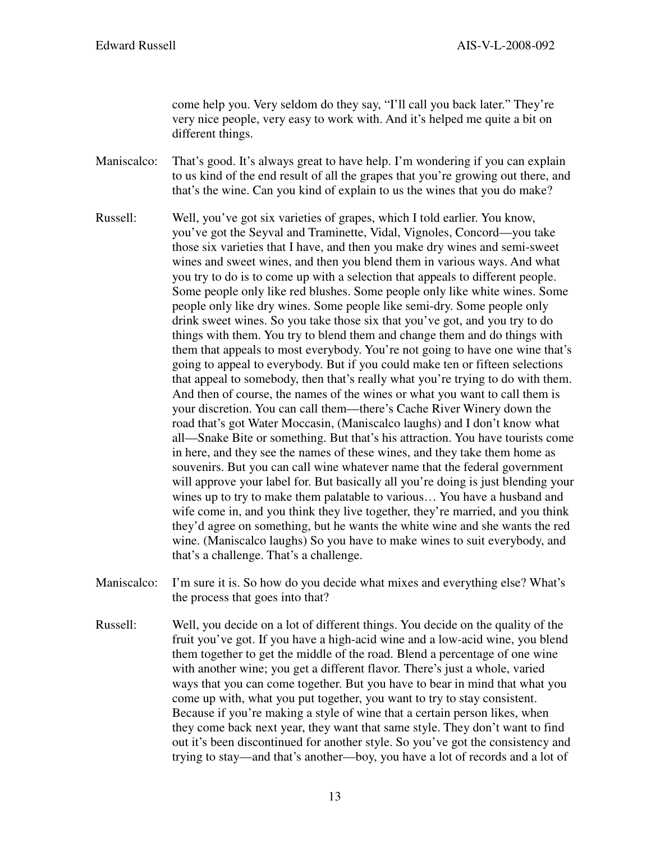come help you. Very seldom do they say, "I'll call you back later." They're very nice people, very easy to work with. And it's helped me quite a bit on different things.

Maniscalco: That's good. It's always great to have help. I'm wondering if you can explain to us kind of the end result of all the grapes that you're growing out there, and that's the wine. Can you kind of explain to us the wines that you do make?

- Russell: Well, you've got six varieties of grapes, which I told earlier. You know, you've got the Seyval and Traminette, Vidal, Vignoles, Concord—you take those six varieties that I have, and then you make dry wines and semi-sweet wines and sweet wines, and then you blend them in various ways. And what you try to do is to come up with a selection that appeals to different people. Some people only like red blushes. Some people only like white wines. Some people only like dry wines. Some people like semi-dry. Some people only drink sweet wines. So you take those six that you've got, and you try to do things with them. You try to blend them and change them and do things with them that appeals to most everybody. You're not going to have one wine that's going to appeal to everybody. But if you could make ten or fifteen selections that appeal to somebody, then that's really what you're trying to do with them. And then of course, the names of the wines or what you want to call them is your discretion. You can call them—there's Cache River Winery down the road that's got Water Moccasin, (Maniscalco laughs) and I don't know what all—Snake Bite or something. But that's his attraction. You have tourists come in here, and they see the names of these wines, and they take them home as souvenirs. But you can call wine whatever name that the federal government will approve your label for. But basically all you're doing is just blending your wines up to try to make them palatable to various… You have a husband and wife come in, and you think they live together, they're married, and you think they'd agree on something, but he wants the white wine and she wants the red wine. (Maniscalco laughs) So you have to make wines to suit everybody, and that's a challenge. That's a challenge.
- Maniscalco: I'm sure it is. So how do you decide what mixes and everything else? What's the process that goes into that?
- Russell: Well, you decide on a lot of different things. You decide on the quality of the fruit you've got. If you have a high-acid wine and a low-acid wine, you blend them together to get the middle of the road. Blend a percentage of one wine with another wine; you get a different flavor. There's just a whole, varied ways that you can come together. But you have to bear in mind that what you come up with, what you put together, you want to try to stay consistent. Because if you're making a style of wine that a certain person likes, when they come back next year, they want that same style. They don't want to find out it's been discontinued for another style. So you've got the consistency and trying to stay—and that's another—boy, you have a lot of records and a lot of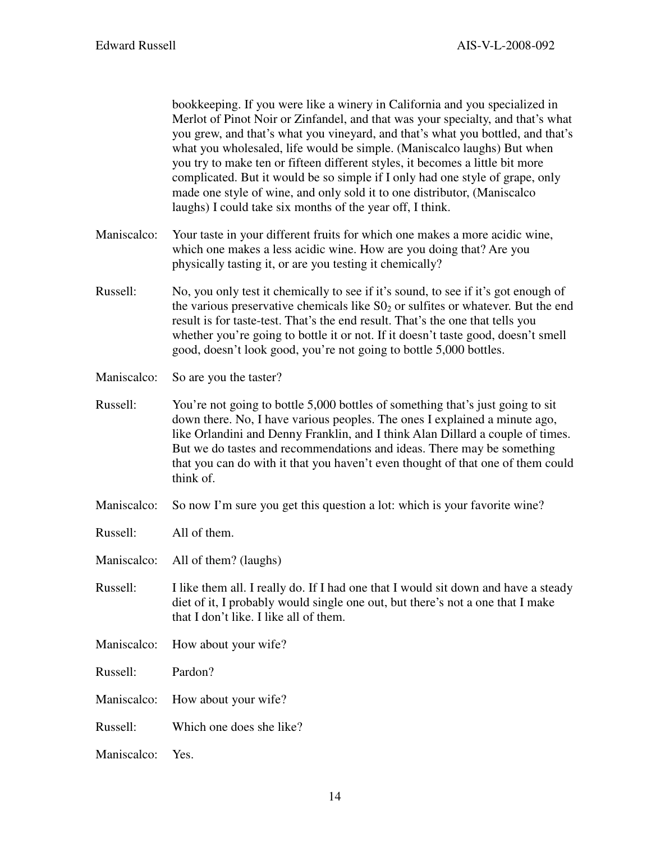bookkeeping. If you were like a winery in California and you specialized in Merlot of Pinot Noir or Zinfandel, and that was your specialty, and that's what you grew, and that's what you vineyard, and that's what you bottled, and that's what you wholesaled, life would be simple. (Maniscalco laughs) But when you try to make ten or fifteen different styles, it becomes a little bit more complicated. But it would be so simple if I only had one style of grape, only made one style of wine, and only sold it to one distributor, (Maniscalco laughs) I could take six months of the year off, I think.

- Maniscalco: Your taste in your different fruits for which one makes a more acidic wine, which one makes a less acidic wine. How are you doing that? Are you physically tasting it, or are you testing it chemically?
- Russell: No, you only test it chemically to see if it's sound, to see if it's got enough of the various preservative chemicals like  $S_0$  or sulfites or whatever. But the end result is for taste-test. That's the end result. That's the one that tells you whether you're going to bottle it or not. If it doesn't taste good, doesn't smell good, doesn't look good, you're not going to bottle 5,000 bottles.
- Maniscalco: So are you the taster?
- Russell: You're not going to bottle 5,000 bottles of something that's just going to sit down there. No, I have various peoples. The ones I explained a minute ago, like Orlandini and Denny Franklin, and I think Alan Dillard a couple of times. But we do tastes and recommendations and ideas. There may be something that you can do with it that you haven't even thought of that one of them could think of.
- Maniscalco: So now I'm sure you get this question a lot: which is your favorite wine?
- Russell: All of them.
- Maniscalco: All of them? (laughs)
- Russell: I like them all. I really do. If I had one that I would sit down and have a steady diet of it, I probably would single one out, but there's not a one that I make that I don't like. I like all of them.
- Maniscalco: How about your wife?

Russell: Pardon?

- Maniscalco: How about your wife?
- Russell: Which one does she like?
- Maniscalco: Yes.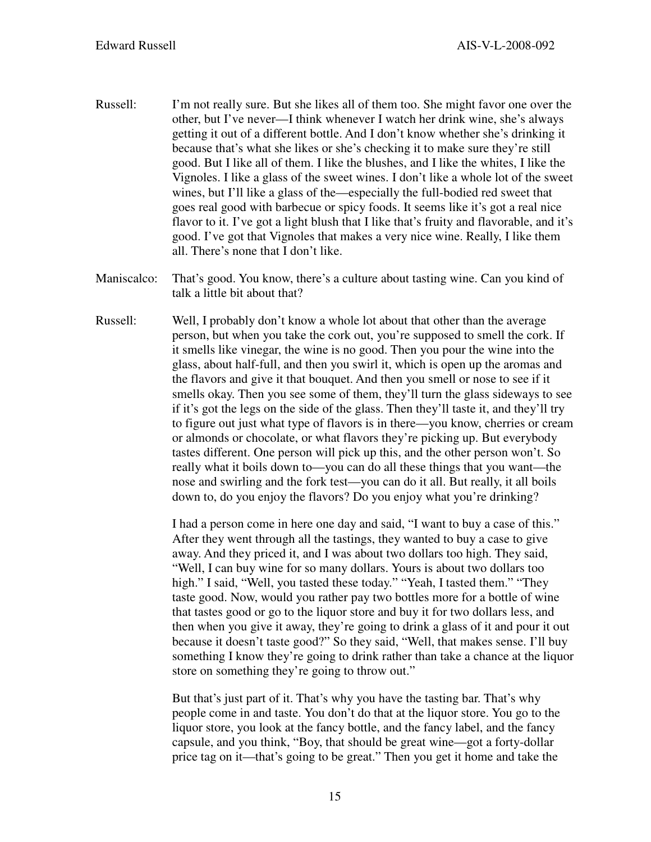- Russell: I'm not really sure. But she likes all of them too. She might favor one over the other, but I've never—I think whenever I watch her drink wine, she's always getting it out of a different bottle. And I don't know whether she's drinking it because that's what she likes or she's checking it to make sure they're still good. But I like all of them. I like the blushes, and I like the whites, I like the Vignoles. I like a glass of the sweet wines. I don't like a whole lot of the sweet wines, but I'll like a glass of the—especially the full-bodied red sweet that goes real good with barbecue or spicy foods. It seems like it's got a real nice flavor to it. I've got a light blush that I like that's fruity and flavorable, and it's good. I've got that Vignoles that makes a very nice wine. Really, I like them all. There's none that I don't like.
- Maniscalco: That's good. You know, there's a culture about tasting wine. Can you kind of talk a little bit about that?
- Russell: Well, I probably don't know a whole lot about that other than the average person, but when you take the cork out, you're supposed to smell the cork. If it smells like vinegar, the wine is no good. Then you pour the wine into the glass, about half-full, and then you swirl it, which is open up the aromas and the flavors and give it that bouquet. And then you smell or nose to see if it smells okay. Then you see some of them, they'll turn the glass sideways to see if it's got the legs on the side of the glass. Then they'll taste it, and they'll try to figure out just what type of flavors is in there—you know, cherries or cream or almonds or chocolate, or what flavors they're picking up. But everybody tastes different. One person will pick up this, and the other person won't. So really what it boils down to—you can do all these things that you want—the nose and swirling and the fork test—you can do it all. But really, it all boils down to, do you enjoy the flavors? Do you enjoy what you're drinking?

 I had a person come in here one day and said, "I want to buy a case of this." After they went through all the tastings, they wanted to buy a case to give away. And they priced it, and I was about two dollars too high. They said, "Well, I can buy wine for so many dollars. Yours is about two dollars too high." I said, "Well, you tasted these today." "Yeah, I tasted them." "They taste good. Now, would you rather pay two bottles more for a bottle of wine that tastes good or go to the liquor store and buy it for two dollars less, and then when you give it away, they're going to drink a glass of it and pour it out because it doesn't taste good?" So they said, "Well, that makes sense. I'll buy something I know they're going to drink rather than take a chance at the liquor store on something they're going to throw out."

 But that's just part of it. That's why you have the tasting bar. That's why people come in and taste. You don't do that at the liquor store. You go to the liquor store, you look at the fancy bottle, and the fancy label, and the fancy capsule, and you think, "Boy, that should be great wine—got a forty-dollar price tag on it—that's going to be great." Then you get it home and take the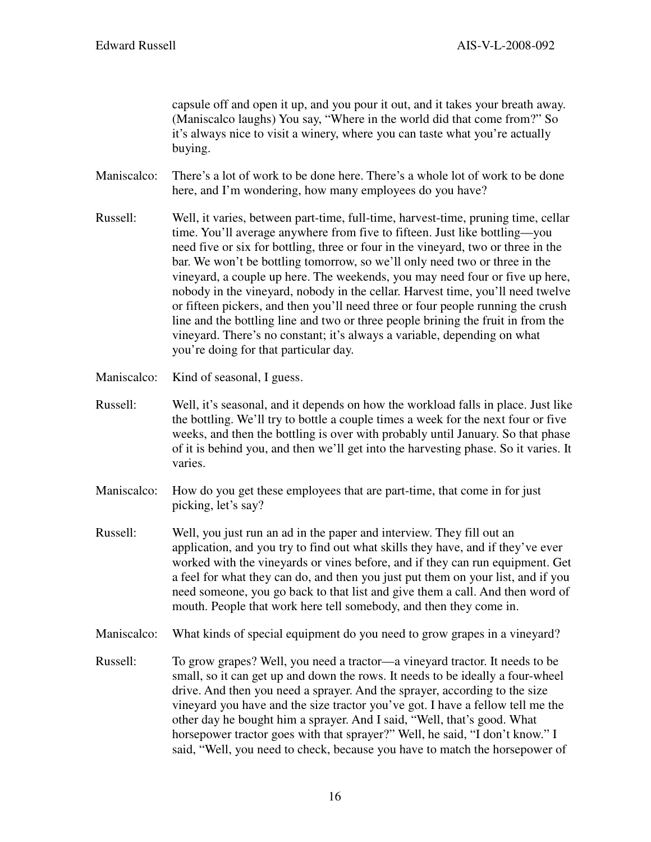capsule off and open it up, and you pour it out, and it takes your breath away. (Maniscalco laughs) You say, "Where in the world did that come from?" So it's always nice to visit a winery, where you can taste what you're actually buying.

Maniscalco: There's a lot of work to be done here. There's a whole lot of work to be done here, and I'm wondering, how many employees do you have?

- Russell: Well, it varies, between part-time, full-time, harvest-time, pruning time, cellar time. You'll average anywhere from five to fifteen. Just like bottling—you need five or six for bottling, three or four in the vineyard, two or three in the bar. We won't be bottling tomorrow, so we'll only need two or three in the vineyard, a couple up here. The weekends, you may need four or five up here, nobody in the vineyard, nobody in the cellar. Harvest time, you'll need twelve or fifteen pickers, and then you'll need three or four people running the crush line and the bottling line and two or three people brining the fruit in from the vineyard. There's no constant; it's always a variable, depending on what you're doing for that particular day.
- Maniscalco: Kind of seasonal, I guess.
- Russell: Well, it's seasonal, and it depends on how the workload falls in place. Just like the bottling. We'll try to bottle a couple times a week for the next four or five weeks, and then the bottling is over with probably until January. So that phase of it is behind you, and then we'll get into the harvesting phase. So it varies. It varies.
- Maniscalco: How do you get these employees that are part-time, that come in for just picking, let's say?
- Russell: Well, you just run an ad in the paper and interview. They fill out an application, and you try to find out what skills they have, and if they've ever worked with the vineyards or vines before, and if they can run equipment. Get a feel for what they can do, and then you just put them on your list, and if you need someone, you go back to that list and give them a call. And then word of mouth. People that work here tell somebody, and then they come in.
- Maniscalco: What kinds of special equipment do you need to grow grapes in a vineyard?
- Russell: To grow grapes? Well, you need a tractor—a vineyard tractor. It needs to be small, so it can get up and down the rows. It needs to be ideally a four-wheel drive. And then you need a sprayer. And the sprayer, according to the size vineyard you have and the size tractor you've got. I have a fellow tell me the other day he bought him a sprayer. And I said, "Well, that's good. What horsepower tractor goes with that sprayer?" Well, he said, "I don't know." I said, "Well, you need to check, because you have to match the horsepower of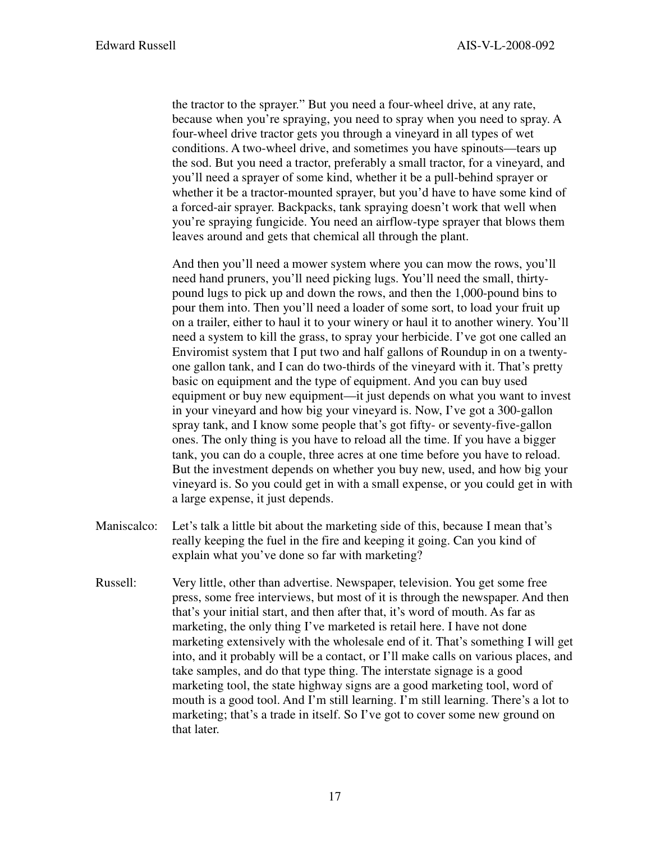the tractor to the sprayer." But you need a four-wheel drive, at any rate, because when you're spraying, you need to spray when you need to spray. A four-wheel drive tractor gets you through a vineyard in all types of wet conditions. A two-wheel drive, and sometimes you have spinouts—tears up the sod. But you need a tractor, preferably a small tractor, for a vineyard, and you'll need a sprayer of some kind, whether it be a pull-behind sprayer or whether it be a tractor-mounted sprayer, but you'd have to have some kind of a forced-air sprayer. Backpacks, tank spraying doesn't work that well when you're spraying fungicide. You need an airflow-type sprayer that blows them leaves around and gets that chemical all through the plant.

 And then you'll need a mower system where you can mow the rows, you'll need hand pruners, you'll need picking lugs. You'll need the small, thirtypound lugs to pick up and down the rows, and then the 1,000-pound bins to pour them into. Then you'll need a loader of some sort, to load your fruit up on a trailer, either to haul it to your winery or haul it to another winery. You'll need a system to kill the grass, to spray your herbicide. I've got one called an Enviromist system that I put two and half gallons of Roundup in on a twentyone gallon tank, and I can do two-thirds of the vineyard with it. That's pretty basic on equipment and the type of equipment. And you can buy used equipment or buy new equipment—it just depends on what you want to invest in your vineyard and how big your vineyard is. Now, I've got a 300-gallon spray tank, and I know some people that's got fifty- or seventy-five-gallon ones. The only thing is you have to reload all the time. If you have a bigger tank, you can do a couple, three acres at one time before you have to reload. But the investment depends on whether you buy new, used, and how big your vineyard is. So you could get in with a small expense, or you could get in with a large expense, it just depends.

- Maniscalco: Let's talk a little bit about the marketing side of this, because I mean that's really keeping the fuel in the fire and keeping it going. Can you kind of explain what you've done so far with marketing?
- Russell: Very little, other than advertise. Newspaper, television. You get some free press, some free interviews, but most of it is through the newspaper. And then that's your initial start, and then after that, it's word of mouth. As far as marketing, the only thing I've marketed is retail here. I have not done marketing extensively with the wholesale end of it. That's something I will get into, and it probably will be a contact, or I'll make calls on various places, and take samples, and do that type thing. The interstate signage is a good marketing tool, the state highway signs are a good marketing tool, word of mouth is a good tool. And I'm still learning. I'm still learning. There's a lot to marketing; that's a trade in itself. So I've got to cover some new ground on that later.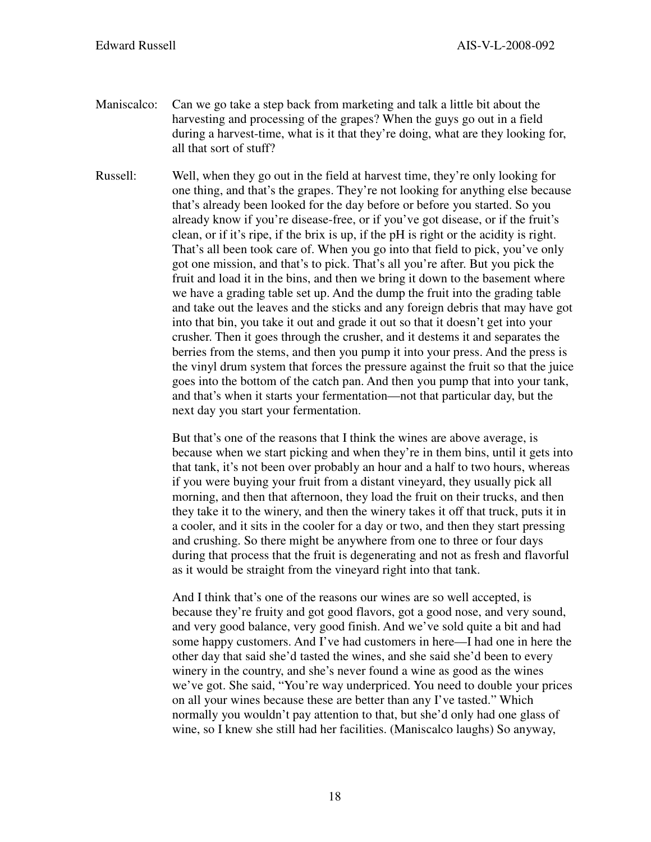- Maniscalco: Can we go take a step back from marketing and talk a little bit about the harvesting and processing of the grapes? When the guys go out in a field during a harvest-time, what is it that they're doing, what are they looking for, all that sort of stuff?
- Russell: Well, when they go out in the field at harvest time, they're only looking for one thing, and that's the grapes. They're not looking for anything else because that's already been looked for the day before or before you started. So you already know if you're disease-free, or if you've got disease, or if the fruit's clean, or if it's ripe, if the brix is up, if the pH is right or the acidity is right. That's all been took care of. When you go into that field to pick, you've only got one mission, and that's to pick. That's all you're after. But you pick the fruit and load it in the bins, and then we bring it down to the basement where we have a grading table set up. And the dump the fruit into the grading table and take out the leaves and the sticks and any foreign debris that may have got into that bin, you take it out and grade it out so that it doesn't get into your crusher. Then it goes through the crusher, and it destems it and separates the berries from the stems, and then you pump it into your press. And the press is the vinyl drum system that forces the pressure against the fruit so that the juice goes into the bottom of the catch pan. And then you pump that into your tank, and that's when it starts your fermentation—not that particular day, but the next day you start your fermentation.

 But that's one of the reasons that I think the wines are above average, is because when we start picking and when they're in them bins, until it gets into that tank, it's not been over probably an hour and a half to two hours, whereas if you were buying your fruit from a distant vineyard, they usually pick all morning, and then that afternoon, they load the fruit on their trucks, and then they take it to the winery, and then the winery takes it off that truck, puts it in a cooler, and it sits in the cooler for a day or two, and then they start pressing and crushing. So there might be anywhere from one to three or four days during that process that the fruit is degenerating and not as fresh and flavorful as it would be straight from the vineyard right into that tank.

 And I think that's one of the reasons our wines are so well accepted, is because they're fruity and got good flavors, got a good nose, and very sound, and very good balance, very good finish. And we've sold quite a bit and had some happy customers. And I've had customers in here—I had one in here the other day that said she'd tasted the wines, and she said she'd been to every winery in the country, and she's never found a wine as good as the wines we've got. She said, "You're way underpriced. You need to double your prices on all your wines because these are better than any I've tasted." Which normally you wouldn't pay attention to that, but she'd only had one glass of wine, so I knew she still had her facilities. (Maniscalco laughs) So anyway,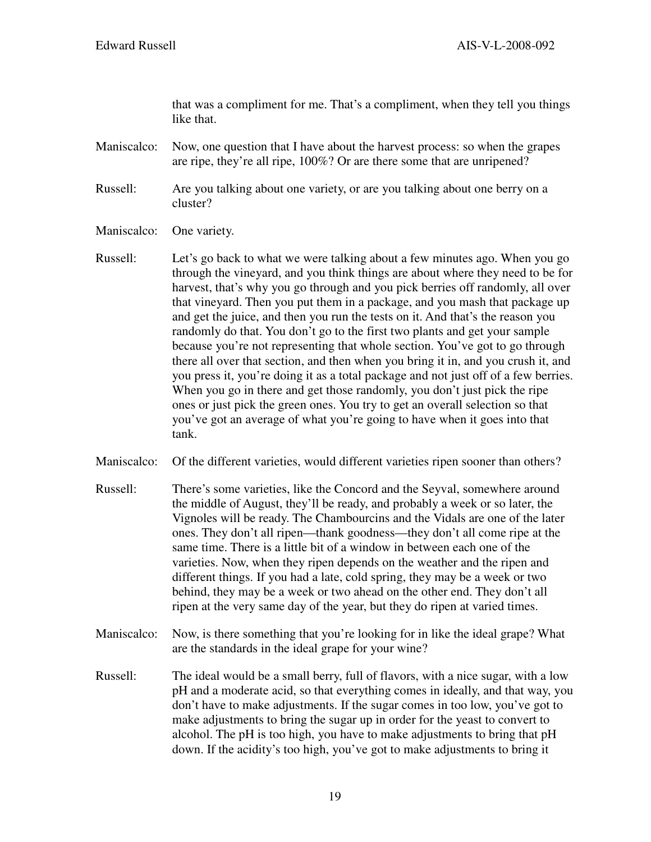that was a compliment for me. That's a compliment, when they tell you things like that.

Maniscalco: Now, one question that I have about the harvest process: so when the grapes are ripe, they're all ripe, 100%? Or are there some that are unripened?

- Russell: Are you talking about one variety, or are you talking about one berry on a cluster?
- Maniscalco: One variety.
- Russell: Let's go back to what we were talking about a few minutes ago. When you go through the vineyard, and you think things are about where they need to be for harvest, that's why you go through and you pick berries off randomly, all over that vineyard. Then you put them in a package, and you mash that package up and get the juice, and then you run the tests on it. And that's the reason you randomly do that. You don't go to the first two plants and get your sample because you're not representing that whole section. You've got to go through there all over that section, and then when you bring it in, and you crush it, and you press it, you're doing it as a total package and not just off of a few berries. When you go in there and get those randomly, you don't just pick the ripe ones or just pick the green ones. You try to get an overall selection so that you've got an average of what you're going to have when it goes into that tank.
- Maniscalco: Of the different varieties, would different varieties ripen sooner than others?
- Russell: There's some varieties, like the Concord and the Seyval, somewhere around the middle of August, they'll be ready, and probably a week or so later, the Vignoles will be ready. The Chambourcins and the Vidals are one of the later ones. They don't all ripen—thank goodness—they don't all come ripe at the same time. There is a little bit of a window in between each one of the varieties. Now, when they ripen depends on the weather and the ripen and different things. If you had a late, cold spring, they may be a week or two behind, they may be a week or two ahead on the other end. They don't all ripen at the very same day of the year, but they do ripen at varied times.
- Maniscalco: Now, is there something that you're looking for in like the ideal grape? What are the standards in the ideal grape for your wine?
- Russell: The ideal would be a small berry, full of flavors, with a nice sugar, with a low pH and a moderate acid, so that everything comes in ideally, and that way, you don't have to make adjustments. If the sugar comes in too low, you've got to make adjustments to bring the sugar up in order for the yeast to convert to alcohol. The pH is too high, you have to make adjustments to bring that pH down. If the acidity's too high, you've got to make adjustments to bring it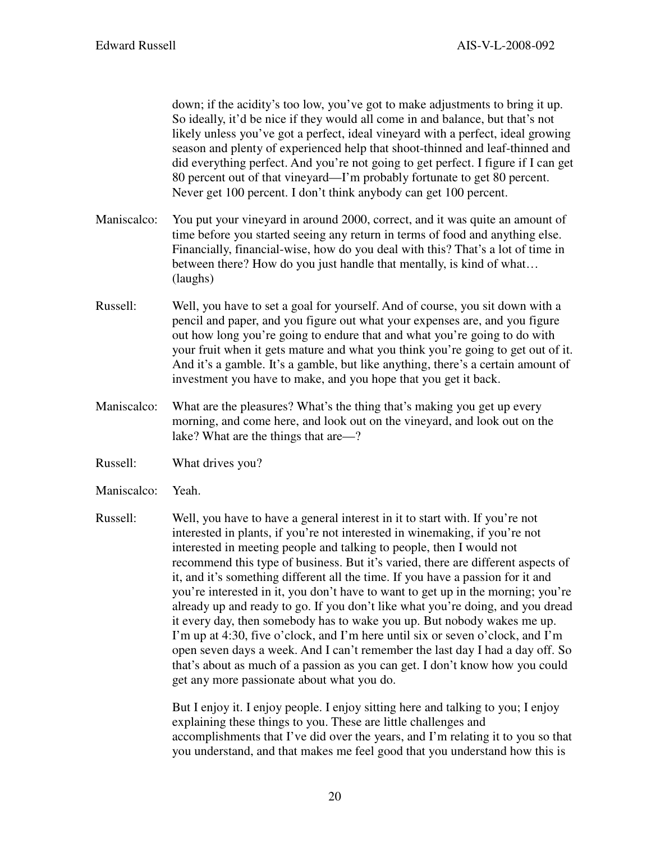down; if the acidity's too low, you've got to make adjustments to bring it up. So ideally, it'd be nice if they would all come in and balance, but that's not likely unless you've got a perfect, ideal vineyard with a perfect, ideal growing season and plenty of experienced help that shoot-thinned and leaf-thinned and did everything perfect. And you're not going to get perfect. I figure if I can get 80 percent out of that vineyard—I'm probably fortunate to get 80 percent. Never get 100 percent. I don't think anybody can get 100 percent.

- Maniscalco: You put your vineyard in around 2000, correct, and it was quite an amount of time before you started seeing any return in terms of food and anything else. Financially, financial-wise, how do you deal with this? That's a lot of time in between there? How do you just handle that mentally, is kind of what… (laughs)
- Russell: Well, you have to set a goal for yourself. And of course, you sit down with a pencil and paper, and you figure out what your expenses are, and you figure out how long you're going to endure that and what you're going to do with your fruit when it gets mature and what you think you're going to get out of it. And it's a gamble. It's a gamble, but like anything, there's a certain amount of investment you have to make, and you hope that you get it back.
- Maniscalco: What are the pleasures? What's the thing that's making you get up every morning, and come here, and look out on the vineyard, and look out on the lake? What are the things that are—?
- Russell: What drives you?
- Maniscalco: Yeah.
- Russell: Well, you have to have a general interest in it to start with. If you're not interested in plants, if you're not interested in winemaking, if you're not interested in meeting people and talking to people, then I would not recommend this type of business. But it's varied, there are different aspects of it, and it's something different all the time. If you have a passion for it and you're interested in it, you don't have to want to get up in the morning; you're already up and ready to go. If you don't like what you're doing, and you dread it every day, then somebody has to wake you up. But nobody wakes me up. I'm up at 4:30, five o'clock, and I'm here until six or seven o'clock, and I'm open seven days a week. And I can't remember the last day I had a day off. So that's about as much of a passion as you can get. I don't know how you could get any more passionate about what you do.

 But I enjoy it. I enjoy people. I enjoy sitting here and talking to you; I enjoy explaining these things to you. These are little challenges and accomplishments that I've did over the years, and I'm relating it to you so that you understand, and that makes me feel good that you understand how this is